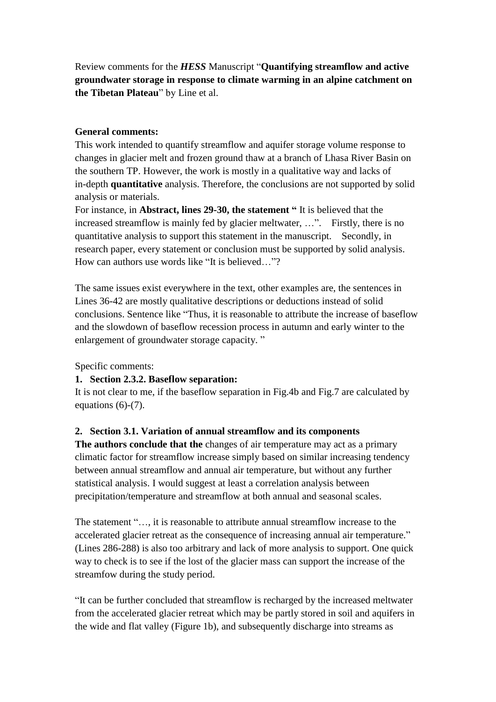Review comments for the *HESS* Manuscript "**Quantifying streamflow and active groundwater storage in response to climate warming in an alpine catchment on the Tibetan Plateau**" by Line et al.

## **General comments:**

This work intended to quantify streamflow and aquifer storage volume response to changes in glacier melt and frozen ground thaw at a branch of Lhasa River Basin on the southern TP. However, the work is mostly in a qualitative way and lacks of in-depth **quantitative** analysis. Therefore, the conclusions are not supported by solid analysis or materials.

For instance, in **Abstract, lines 29-30, the statement "** It is believed that the increased streamflow is mainly fed by glacier meltwater, ...". Firstly, there is no quantitative analysis to support this statement in the manuscript. Secondly, in research paper, every statement or conclusion must be supported by solid analysis. How can authors use words like "It is believed  $\frac{1}{2}$ "?

The same issues exist everywhere in the text, other examples are, the sentences in Lines 36-42 are mostly qualitative descriptions or deductions instead of solid conclusions. Sentence like "Thus, it is reasonable to attribute the increase of baseflow and the slowdown of baseflow recession process in autumn and early winter to the enlargement of groundwater storage capacity. "

Specific comments:

## **1. Section 2.3.2. Baseflow separation:**

It is not clear to me, if the baseflow separation in Fig.4b and Fig.7 are calculated by equations (6)-(7).

## **2. Section 3.1. Variation of annual streamflow and its components**

**The authors conclude that the** changes of air temperature may act as a primary climatic factor for streamflow increase simply based on similar increasing tendency between annual streamflow and annual air temperature, but without any further statistical analysis. I would suggest at least a correlation analysis between precipitation/temperature and streamflow at both annual and seasonal scales.

The statement "…, it is reasonable to attribute annual streamflow increase to the accelerated glacier retreat as the consequence of increasing annual air temperature." (Lines 286-288) is also too arbitrary and lack of more analysis to support. One quick way to check is to see if the lost of the glacier mass can support the increase of the streamfow during the study period.

"It can be further concluded that streamflow is recharged by the increased meltwater from the accelerated glacier retreat which may be partly stored in soil and aquifers in the wide and flat valley (Figure 1b), and subsequently discharge into streams as